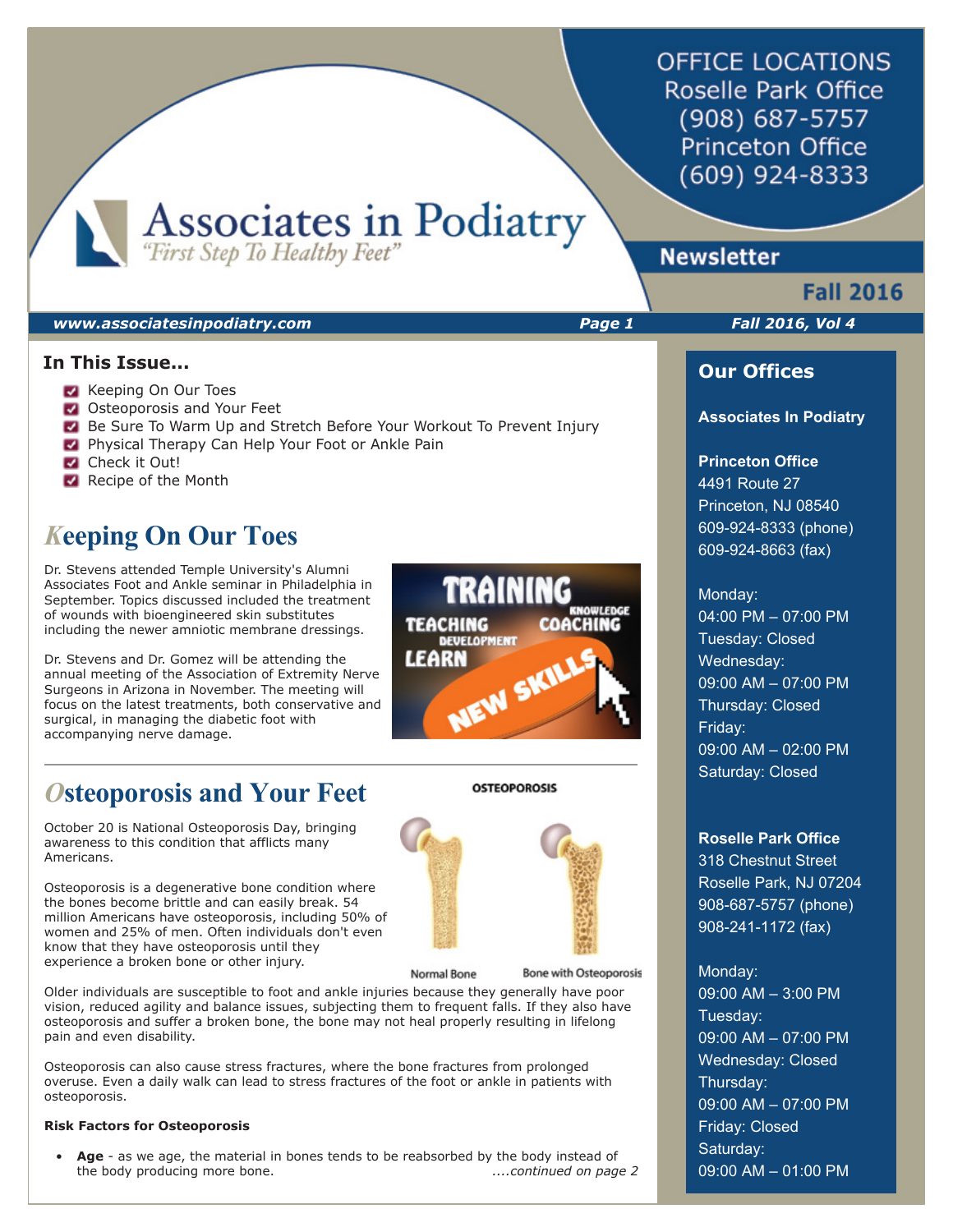**OFFICE LOCATIONS** Roselle Park Office (908) 687-5757 **Princeton Office** (609) 924-8333

Associates in Podiatry

## *www.associatesinpodiatry.com Page 1 Fall 2016, Vol 4*

#### **In This Issue...**

- **Keeping On Our Toes**
- **Osteoporosis and Your Feet**
- Be Sure To Warm Up and Stretch Before Your Workout To Prevent Injury
- **Physical Therapy Can Help Your Foot or Ankle Pain**
- Check it Out!
- Recipe of the Month

# *K***eeping On Our Toes**

Dr. Stevens attended Temple University's Alumni Associates Foot and Ankle seminar in Philadelphia in September. Topics discussed included the treatment of wounds with bioengineered skin substitutes including the newer amniotic membrane dressings.

Dr. Stevens and Dr. Gomez will be attending the annual meeting of the Association of Extremity Nerve Surgeons in Arizona in November. The meeting will focus on the latest treatments, both conservative and surgical, in managing the diabetic foot with accompanying nerve damage.

# *O***steoporosis and Your Feet**

October 20 is National Osteoporosis Day, bringing awareness to this condition that afflicts many Americans.

Osteoporosis is a degenerative bone condition where the bones become brittle and can easily break. 54 million Americans have osteoporosis, including 50% of women and 25% of men. Often individuals don't even know that they have osteoporosis until they experience a broken bone or other injury.

Normal Bone

**Bone with Osteoporosis** 

Older individuals are susceptible to foot and ankle injuries because they generally have poor vision, reduced agility and balance issues, subjecting them to frequent falls. If they also have osteoporosis and suffer a broken bone, the bone may not heal properly resulting in lifelong pain and even disability.

Osteoporosis can also cause stress fractures, where the bone fractures from prolonged overuse. Even a daily walk can lead to stress fractures of the foot or ankle in patients with osteoporosis.

#### **Risk Factors for Osteoporosis**

 • **Age** - as we age, the material in bones tends to be reabsorbed by the body instead of the body producing more bone. *....continued on page 2*



**OSTEOPOROSIS** 

# **Newsletter**

# **Fall 2016**

## **Our Offices**

#### **Associates In Podiatry**

## **Princeton Office**

4491 Route 27 Princeton, NJ 08540 609-924-8333 (phone) 609-924-8663 (fax)

#### Monday:

04:00 PM – 07:00 PM Tuesday: Closed Wednesday: 09:00 AM – 07:00 PM Thursday: Closed Friday: 09:00 AM – 02:00 PM Saturday: Closed

#### **Roselle Park Office**

318 Chestnut Street Roselle Park, NJ 07204 908-687-5757 (phone) 908-241-1172 (fax)

## Monday:

09:00 AM – 3:00 PM Tuesday: 09:00 AM – 07:00 PM Wednesday: Closed Thursday: 09:00 AM – 07:00 PM Friday: Closed Saturday: 09:00 AM – 01:00 PM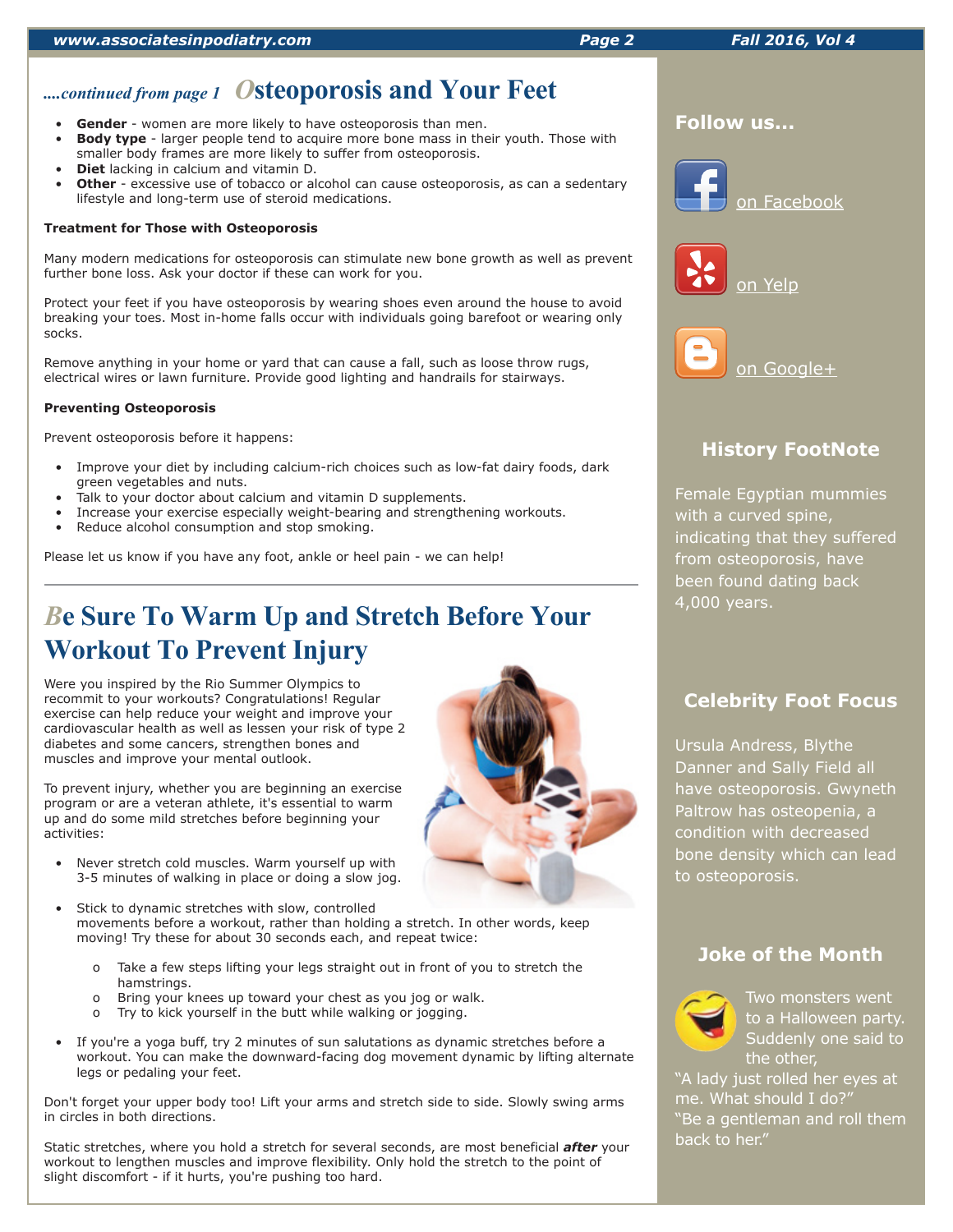# *....continued from page 1 O***steoporosis and Your Feet**

- **Gender** women are more likely to have osteoporosis than men.
- **Body type** larger people tend to acquire more bone mass in their youth. Those with smaller body frames are more likely to suffer from osteoporosis.
- **Diet** lacking in calcium and vitamin D.
- **Other** excessive use of tobacco or alcohol can cause osteoporosis, as can a sedentary lifestyle and long-term use of steroid medications.

#### **Treatment for Those with Osteoporosis**

Many modern medications for osteoporosis can stimulate new bone growth as well as prevent further bone loss. Ask your doctor if these can work for you.

Protect your feet if you have osteoporosis by wearing shoes even around the house to avoid breaking your toes. Most in-home falls occur with individuals going barefoot or wearing only socks.

Remove anything in your home or yard that can cause a fall, such as loose throw rugs, electrical wires or lawn furniture. Provide good lighting and handrails for stairways.

#### **Preventing Osteoporosis**

Prevent osteoporosis before it happens:

- Improve your diet by including calcium-rich choices such as low-fat dairy foods, dark green vegetables and nuts.
- Talk to your doctor about calcium and vitamin D supplements.
- Increase your exercise especially weight-bearing and strengthening workouts.
- Reduce alcohol consumption and stop smoking.

Please let us know if you have any foot, ankle or heel pain - we can help!

# *B***e Sure To Warm Up and Stretch Before Your Workout To Prevent Injury**

Were you inspired by the Rio Summer Olympics to recommit to your workouts? Congratulations! Regular exercise can help reduce your weight and improve your cardiovascular health as well as lessen your risk of type 2 diabetes and some cancers, strengthen bones and muscles and improve your mental outlook.

To prevent injury, whether you are beginning an exercise program or are a veteran athlete, it's essential to warm up and do some mild stretches before beginning your activities:

- Never stretch cold muscles. Warm yourself up with 3-5 minutes of walking in place or doing a slow jog.
- Stick to dynamic stretches with slow, controlled movements before a workout, rather than holding a stretch. In other words, keep moving! Try these for about 30 seconds each, and repeat twice:
	- o Take a few steps lifting your legs straight out in front of you to stretch the hamstrings.
	- o Bring your knees up toward your chest as you jog or walk.
	- o Try to kick yourself in the butt while walking or jogging.
- If you're a yoga buff, try 2 minutes of sun salutations as dynamic stretches before a workout. You can make the downward-facing dog movement dynamic by lifting alternate legs or pedaling your feet.

Don't forget your upper body too! Lift your arms and stretch side to side. Slowly swing arms in circles in both directions.

Static stretches, where you hold a stretch for several seconds, are most beneficial *after* your workout to lengthen muscles and improve flexibility. Only hold the stretch to the point of slight discomfort - if it hurts, you're pushing too hard.





on Yelp



# **History FootNote**

Female Egyptian mummies with a curved spine, indicating that they suffered from osteoporosis, have been found dating back 4,000 years.

## **Celebrity Foot Focus**

Ursula Andress, Blythe Danner and Sally Field all have osteoporosis. Gwyneth Paltrow has osteopenia, a condition with decreased bone density which can lead to osteoporosis.

## **Joke of the Month**



Two monsters went to a Halloween party. Suddenly one said to the other,

"A lady just rolled her eyes at me. What should I do?" "Be a gentleman and roll them back to her."

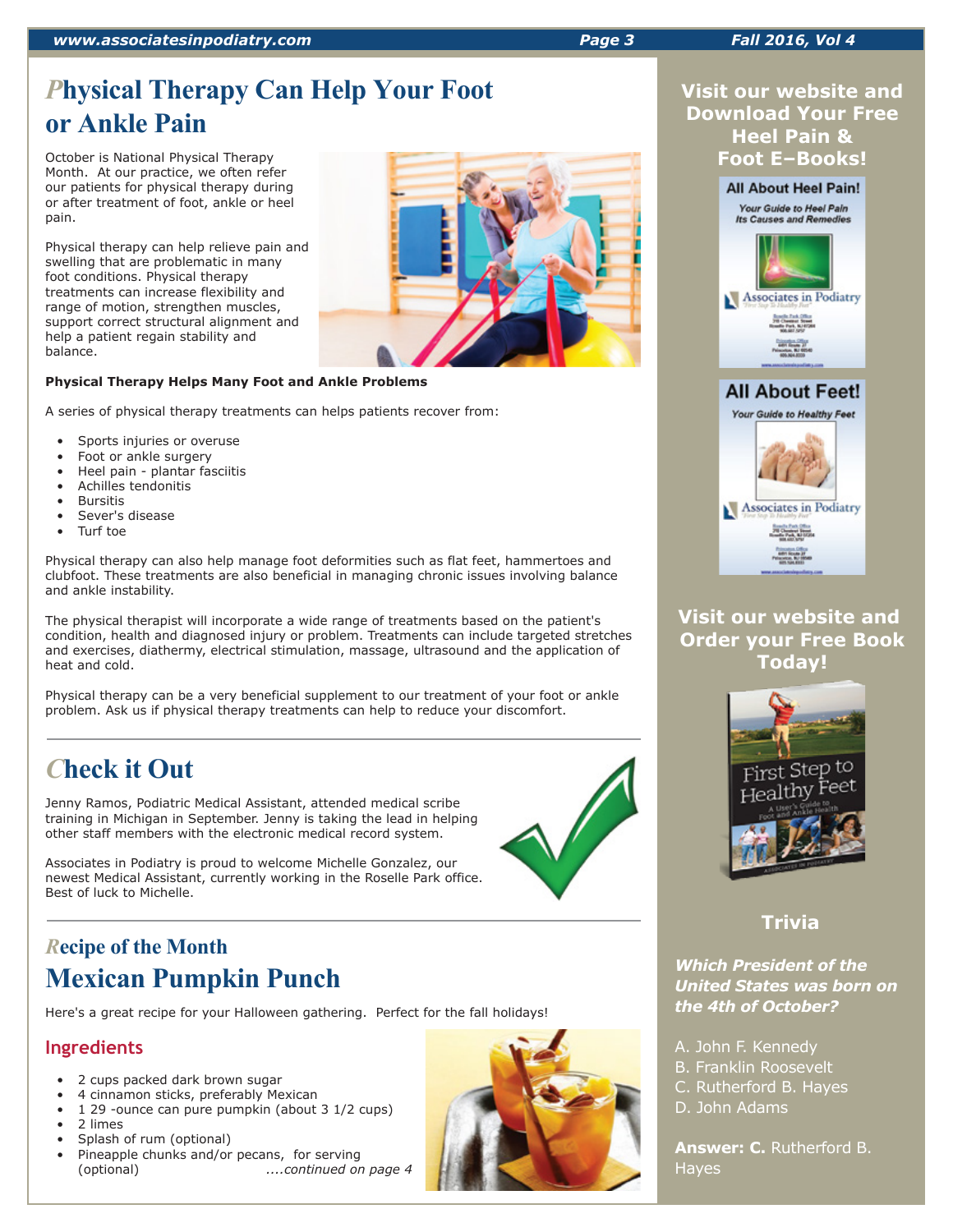# *P***hysical Therapy Can Help Your Foot or Ankle Pain**

October is National Physical Therapy Month. At our practice, we often refer our patients for physical therapy during or after treatment of foot, ankle or heel pain.

Physical therapy can help relieve pain and swelling that are problematic in many foot conditions. Physical therapy treatments can increase flexibility and range of motion, strengthen muscles, support correct structural alignment and help a patient regain stability and balance.

## **Physical Therapy Helps Many Foot and Ankle Problems**

A series of physical therapy treatments can helps patients recover from:

- Sports injuries or overuse
- Foot or ankle surgery
- Heel pain plantar fasciitis
- Achilles tendonitis
- **Bursitis**
- Sever's disease
- Turf toe

Physical therapy can also help manage foot deformities such as flat feet, hammertoes and clubfoot. These treatments are also beneficial in managing chronic issues involving balance and ankle instability.

The physical therapist will incorporate a wide range of treatments based on the patient's condition, health and diagnosed injury or problem. Treatments can include targeted stretches and exercises, diathermy, electrical stimulation, massage, ultrasound and the application of heat and cold.

Physical therapy can be a very beneficial supplement to our treatment of your foot or ankle problem. Ask us if physical therapy treatments can help to reduce your discomfort.

# *C***heck it Out**

Jenny Ramos, Podiatric Medical Assistant, attended medical scribe training in Michigan in September. Jenny is taking the lead in helping other staff members with the electronic medical record system.

Associates in Podiatry is proud to welcome Michelle Gonzalez, our newest Medical Assistant, currently working in the Roselle Park office. Best of luck to Michelle.

# *R***ecipe of the Month Mexican Pumpkin Punch**

Here's a great recipe for your Halloween gathering. Perfect for the fall holidays!

# **Ingredients**

- 2 cups packed dark brown sugar
- 4 cinnamon sticks, preferably Mexican
- 1 29 -ounce can pure pumpkin (about 3 1/2 cups)
- 2 limes
- Splash of rum (optional)
- Pineapple chunks and/or pecans, for serving (optional) *....continued on page 4*





## **Visit our website and Order your Free Book Today!**



# **Trivia**

## *Which President of the United States was born on the 4th of October?*

- A. John F. Kennedy
- B. Franklin Roosevelt
- C. Rutherford B. Hayes
- D. John Adams

**Answer: C.** Rutherford B. Hayes